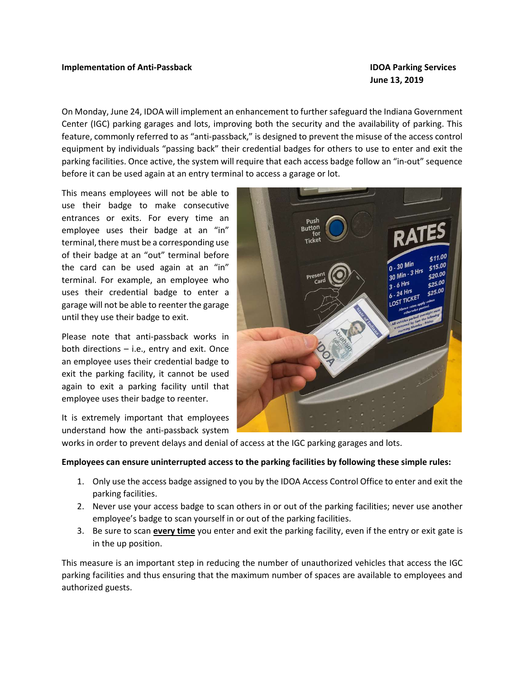#### Implementation of Anti-Passback **IDOA** Parking Services

# June 13, 2019

On Monday, June 24, IDOA will implement an enhancement to further safeguard the Indiana Government Center (IGC) parking garages and lots, improving both the security and the availability of parking. This feature, commonly referred to as "anti-passback," is designed to prevent the misuse of the access control equipment by individuals "passing back" their credential badges for others to use to enter and exit the parking facilities. Once active, the system will require that each access badge follow an "in-out" sequence before it can be used again at an entry terminal to access a garage or lot.

This means employees will not be able to use their badge to make consecutive entrances or exits. For every time an employee uses their badge at an "in" terminal, there must be a corresponding use of their badge at an "out" terminal before the card can be used again at an "in" terminal. For example, an employee who uses their credential badge to enter a garage will not be able to reenter the garage until they use their badge to exit.

Please note that anti-passback works in both directions – i.e., entry and exit. Once an employee uses their credential badge to exit the parking facility, it cannot be used again to exit a parking facility until that employee uses their badge to reenter.

It is extremely important that employees understand how the anti-passback system



works in order to prevent delays and denial of access at the IGC parking garages and lots.

#### Employees can ensure uninterrupted access to the parking facilities by following these simple rules:

- 1. Only use the access badge assigned to you by the IDOA Access Control Office to enter and exit the parking facilities.
- 2. Never use your access badge to scan others in or out of the parking facilities; never use another employee's badge to scan yourself in or out of the parking facilities.
- 3. Be sure to scan **every time** you enter and exit the parking facility, even if the entry or exit gate is in the up position.

This measure is an important step in reducing the number of unauthorized vehicles that access the IGC parking facilities and thus ensuring that the maximum number of spaces are available to employees and authorized guests.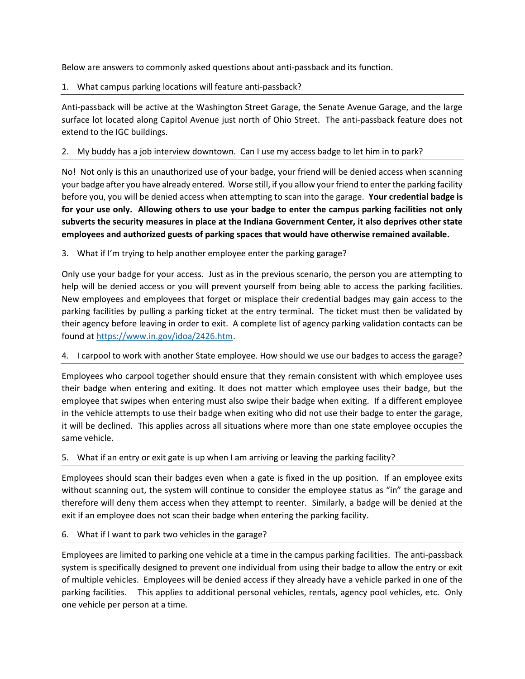Below are answers to commonly asked questions about anti-passback and its function.

# 1. What campus parking locations will feature anti-passback?

Anti-passback will be active at the Washington Street Garage, the Senate Avenue Garage, and the large surface lot located along Capitol Avenue just north of Ohio Street. The anti-passback feature does not extend to the IGC buildings.

## 2. My buddy has a job interview downtown. Can I use my access badge to let him in to park?

No! Not only is this an unauthorized use of your badge, your friend will be denied access when scanning your badge after you have already entered. Worse still, if you allow your friend to enter the parking facility before you, you will be denied access when attempting to scan into the garage. Your credential badge is for your use only. Allowing others to use your badge to enter the campus parking facilities not only subverts the security measures in place at the Indiana Government Center, it also deprives other state employees and authorized guests of parking spaces that would have otherwise remained available.

## 3. What if I'm trying to help another employee enter the parking garage?

Only use your badge for your access. Just as in the previous scenario, the person you are attempting to help will be denied access or you will prevent yourself from being able to access the parking facilities. New employees and employees that forget or misplace their credential badges may gain access to the parking facilities by pulling a parking ticket at the entry terminal. The ticket must then be validated by their agency before leaving in order to exit. A complete list of agency parking validation contacts can be found at https://www.in.gov/idoa/2426.htm.

# 4. I carpool to work with another State employee. How should we use our badges to access the garage?

Employees who carpool together should ensure that they remain consistent with which employee uses their badge when entering and exiting. It does not matter which employee uses their badge, but the employee that swipes when entering must also swipe their badge when exiting. If a different employee in the vehicle attempts to use their badge when exiting who did not use their badge to enter the garage, it will be declined. This applies across all situations where more than one state employee occupies the same vehicle.

# 5. What if an entry or exit gate is up when I am arriving or leaving the parking facility?

Employees should scan their badges even when a gate is fixed in the up position. If an employee exits without scanning out, the system will continue to consider the employee status as "in" the garage and therefore will deny them access when they attempt to reenter. Similarly, a badge will be denied at the exit if an employee does not scan their badge when entering the parking facility.

### 6. What if I want to park two vehicles in the garage?

Employees are limited to parking one vehicle at a time in the campus parking facilities. The anti-passback system is specifically designed to prevent one individual from using their badge to allow the entry or exit of multiple vehicles. Employees will be denied access if they already have a vehicle parked in one of the parking facilities. This applies to additional personal vehicles, rentals, agency pool vehicles, etc. Only one vehicle per person at a time.